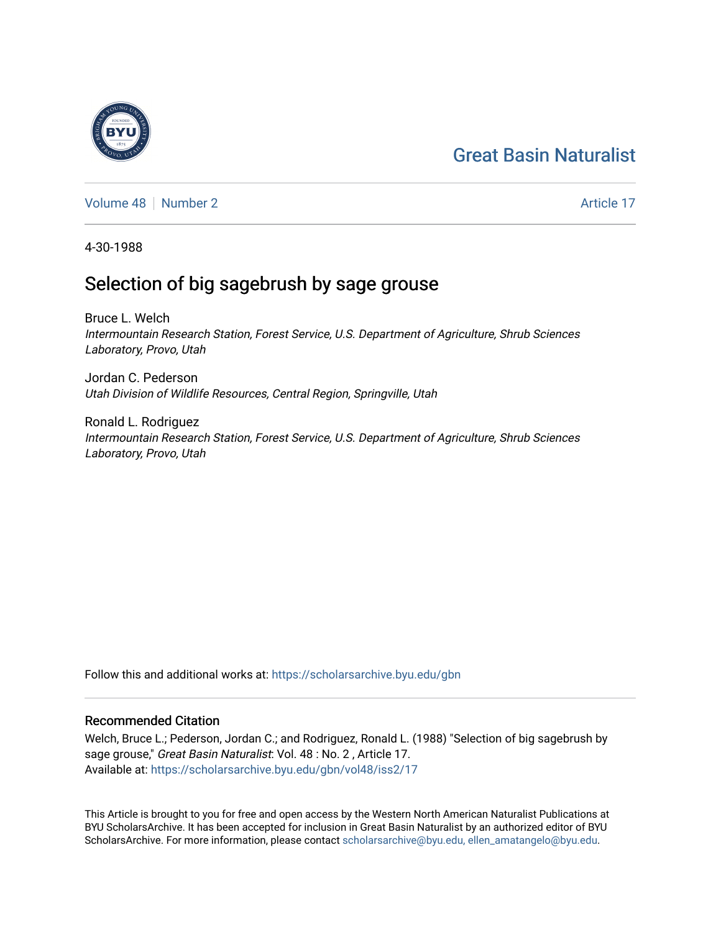# [Great Basin Naturalist](https://scholarsarchive.byu.edu/gbn)

[Volume 48](https://scholarsarchive.byu.edu/gbn/vol48) [Number 2](https://scholarsarchive.byu.edu/gbn/vol48/iss2) Article 17

4-30-1988

## Selection of big sagebrush by sage grouse

Bruce L. Welch Intermountain Research Station, Forest Service, U.S. Department of Agriculture, Shrub Sciences Laboratory, Provo, Utah

Jordan C. Pederson Utah Division of Wildlife Resources, Central Region, Springville, Utah

Ronald L. Rodriguez Intermountain Research Station, Forest Service, U.S. Department of Agriculture, Shrub Sciences Laboratory, Provo, Utah

Follow this and additional works at: [https://scholarsarchive.byu.edu/gbn](https://scholarsarchive.byu.edu/gbn?utm_source=scholarsarchive.byu.edu%2Fgbn%2Fvol48%2Fiss2%2F17&utm_medium=PDF&utm_campaign=PDFCoverPages) 

### Recommended Citation

Welch, Bruce L.; Pederson, Jordan C.; and Rodriguez, Ronald L. (1988) "Selection of big sagebrush by sage grouse," Great Basin Naturalist: Vol. 48 : No. 2 , Article 17. Available at: [https://scholarsarchive.byu.edu/gbn/vol48/iss2/17](https://scholarsarchive.byu.edu/gbn/vol48/iss2/17?utm_source=scholarsarchive.byu.edu%2Fgbn%2Fvol48%2Fiss2%2F17&utm_medium=PDF&utm_campaign=PDFCoverPages) 

This Article is brought to you for free and open access by the Western North American Naturalist Publications at BYU ScholarsArchive. It has been accepted for inclusion in Great Basin Naturalist by an authorized editor of BYU ScholarsArchive. For more information, please contact [scholarsarchive@byu.edu, ellen\\_amatangelo@byu.edu.](mailto:scholarsarchive@byu.edu,%20ellen_amatangelo@byu.edu)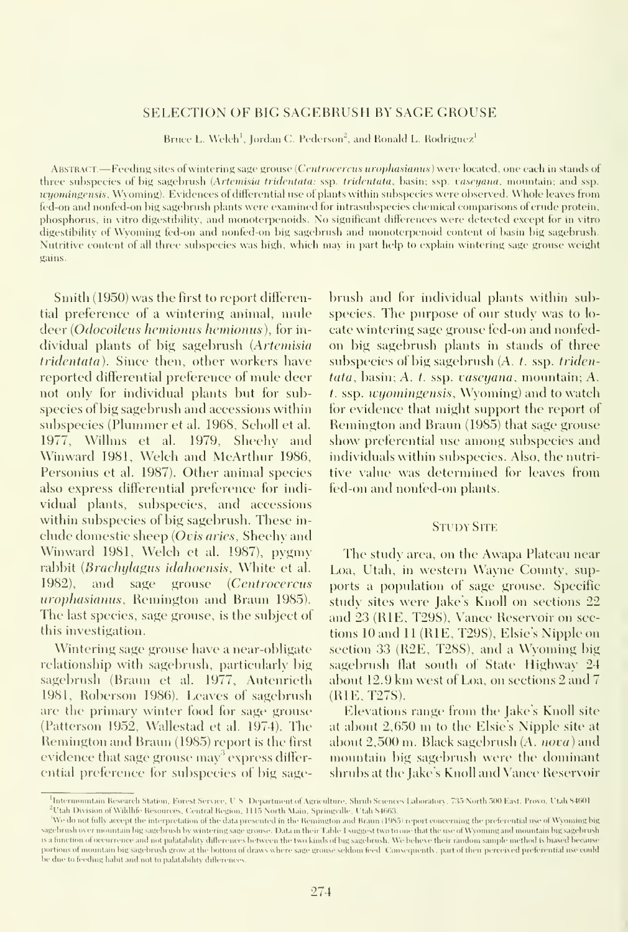#### SELECTION OF BIG SAGEBRUSH BY SAGE GROUSE

Bruce L. Welch<sup>1</sup>, Jordan C. Pederson<sup>2</sup>, and Ronald L. Rodriguez<sup>1</sup>

ABSTRACT.—Feeding sites of wintering sage grouse (Centrocercus urophasianus) were located, one each in stands of three subspecies of big sagebrush (Artemisia tridentata: ssp. tridentata, basin; ssp. vaseyana. mountain; and ssp. ivyomingensis, Wyoming). Evidences of differential use of plants within subspecies were observed. Whole leaves from fed-on and nonfed-on big sagebrush plants were examined for intrasubspecies chemical comparisons of crude protein, phosphorus, in vitro digestibility, and monoterpenoids. No significant differences were detected except for in vitro digestibility (<f Wyoming fed-on and nonfed-on big sagebrush and monoterpenoid content of basin big sagebrush. Nutritive content of all three subspecies was high, which may in part help to explain wintering sage grouse weight gains.

Smith (1950) was the first to report differential preference of a wintering animal, mnle deer (Odocoileus hemionus hemionus), for individual plants of big sagebrush (Artemisia tridentata). Since then, other workers have reported differential preference of mule deer not only for individual plants but for subspecies of big sagebrush and accessions within subspecies (Plummer et al. 1968, Scholl et al. 1977, Willms et al. 1979, Sheehy and Winward 1981, Welch and McArthur 1986, Personius et al. 1987). Other animal species also express differential preference for indi vidual plants, subspecies, and accessions within subspecies of big sagebrush. These in clude domestic sheep (Ovis aries, Sheehy and Winward 1981, Welch et al. 1987), pygmy rabbit (Brachylagus idahoensis, White et al. 1982), and sage grouse (Centrocercus urophasianus, Remington and Braun 1985). The last species, sage grouse, is the subject of this investigation.

Wintering sage grouse have a near-obligate relationship with sagebrush, particularly big sagebrush (Braun et al. 1977, Autenrieth 1981, Roberson 1986). Leaves of sagebrush are the primary winter food for sage grouse (Patterson 1952, Wallestad et al. 1974). The Remington and Braun (1985) report is the first evidence that sage grouse  $\max^3$  express differential preference for subspecies of big sagebrush and for individual plants within subspecies. The piupose of our study was to lo cate wintering sage grouse fed-on and nonfed on big sagebrush plants in stands of three subspecies of big sagebrush (A. t. ssp. triden $tata$ , basin; A. t. ssp. vaseyana, mountain; A.  $t$ . ssp. *wyomingensis*, Wyoming) and to watch for evidence that might support the report of Remington and Braun (1985) that sage grouse show preferential use among subspecies and individuals within subspecies. Also, the nutritive value was determined tor leaves from fed-on and nonfed-on plants.

#### **STUDY SITE**

The study area, on the Awapa Plateau near Loa, Utah, in western Wayne County, supports a population of sage grouse. Specific study sites were Jake's Knoll on sections 22 and 23 (RIE, T29S), Vance Reservoir on sections 10 and 11 (RIE, T29S), Elsie's Nipple on section 33 (R2E, T28S), and <sup>a</sup> Wyoming big sagebrush flat south of State Highway 24 about 12.9 km west of Loa, on sections <sup>2</sup> and 7 (RIE,T27S).

Elevations range from the Jake's Knoll site at about 2,650 m to the Elsie's Nipple site at about  $2,500$  m. Black sagebrush  $(A.$  nova) and mountain big sagebrush were the dominant shrubs at the Jake's Knoll and Vance Reservoir

<sup>&</sup>lt;sup>1</sup>Intermountain Hesearch Station, Forest Service, U.S. Department of Agriculture, Shrub Sciences Laboratory, 735 North 500 East, Provo, Utah 84601  $^2$ Utah Division of Wildhfe-Resources, Central Region, 1115 North Main. Springville, Utah 84663.

We do not fully accept the interpretation of the data presented in the Remington and Braun (1985) report concerning the preferential use of Wyoming big sagebrush over mountain big sagebrush by wintering sage grouse. Data in their Table 1 suggest two to one that the use of Wyoming and mountain big sagebrush is a function of occurrence and not palatability differences between the two kinds of big sagebrush. We beheve their random sample method is biased because portions of mountain big sagebrush grow at the bottom of draws where sage grouse seldom feed. Consequently, part of then perceived preferential use could be due to feeding habit and not to palatability differences.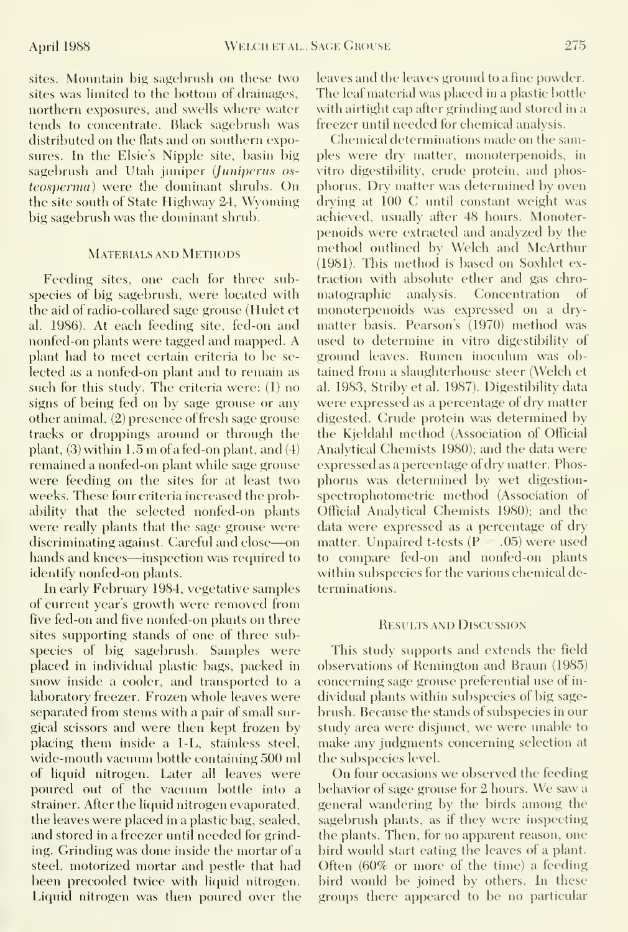sites. Mountain big sagebrush on these two sites was limited to the bottom of drainages, northern exposures, and swells where water tends to eoncentrate. Black sagebrush was distributed on the flats and on southern exposures. In the Elsie's Nipple site, basin big sagebrush and Utah juniper (Juniperus osteosperma) were the dominant shrubs. On the site south of State Highway 24, Wyoming big sagebrush was the dominant shrub.

#### Materials and Metfiods

Feeding sites, one each for three subspecies of big sagebrush, were located with the aid of radio-collared sage grouse (Hulet et al. 1986). At each feeding site, fed-on and nonfed-on plants were tagged and mapped. A plant had to meet certain criteria to be se lected as a nonfed-on plant and to remain as such for this study. The criteria were: (1) no signs of being fed on by sage grouse or any other animal, (2) presence of fresh sage grouse tracks or droppings around or through the plant,  $(3)$  within 1.5 m of a fed-on plant, and  $(4)$ remained a nonfed-on plant while sage grouse were feeding on the sites for at least two weeks. These four criteria increased the probability that the selected nonfed-on plants were really plants that the sage grouse were discriminating against. Careful and close—on hands and knees—inspection was required to identify nonfed-on plants.

In early February 1984, vegetative samples of current year's growth were removed from five fed-on and five nonfed-on plants on three sites supporting stands of one of three subspecies of big sagebrush. Samples were placed in individual plastic bags, packed in snow inside a cooler, and transported to a laboratory freezer. Frozen whole leaves were separated from stems with a pair of small surgical scissors and were then kept frozen by placing them inside a 1-L, stainless steel, wide-mouth vacuum bottle containing 500 ml of liquid nitrogen. Later all leaves were poured out of the vacuum bottle into a strainer. After the liquid nitrogen evaporated, the leaves were placed in a plastic bag, sealed, and stored in a freezer until needed for grinding. Grinding was done inside the mortar of a steel, motorized mortar and pestle that had been precooled twice with liquid nitrogen. Liquid nitrogen was then poured over the

leaves and the leaves ground to a fine powder. The leaf material was placed in a plastic bottle with airtight cap after grinding and stored in a freezer until needed for chemical analysis.

Chemical determinations made on the samples were dry matter, monoterpenoids, in vitro digestibility, crude protein, and phosphorus. Dry matter was determined by oven drying at 100 C until constant weight was achieved, usually after 48 hours. Monoterpenoids were extracted and analyzed by the method outlined by Welch and McArthur (1981). This method is based on Soxhlet extraction with absolute ether and gas chromatographic analysis. Concentration of monoterpenoids was expressed on a dry matter basis. Pearson's (1970) method was used to determine in vitro digestibility of ground leaves. Rumen inoculum was obtained from a slaughterhouse steer (Welch et al. 1983, Striby et al. 1987). Digestibility data were expressed as a percentage of dry matter digested. Crude protein was determined by the Kjeldahl method (Association of Official Analytical Chemists 1980); and the data were expressed as a percentage of dry matter. Phosphorus was determined by wet digestionspectrophotometric method (Association of Official Analytical Chemists 1980); and the data were expressed as a percentage of dry matter. Unpaired t-tests  $(P = .05)$  were used to compare fed-on and nonfed-on plants within subspecies for the various chemical determinations.

#### Results and Discussion

This study supports and extends the field observations of Remington and Braun (1985) concerning sage grouse preferential use of in dividual plants within subspecies of big sage brush. Because the stands of subspecies in our study area were disjunct, we were unable to make any judgments concerning selection at the subspecies level.

On four occasions we observed the feeding behavior of sage grouse for <sup>2</sup> hours. We saw <sup>a</sup> general wandering by the birds among the sagebrush plants, as if they were inspecting the plants. Then, for no apparent reason, one bird would start eating the leaves of a plant. Often (60% or more of the time) a feeding bird would be joined by others. In these groups there appeared to be no particular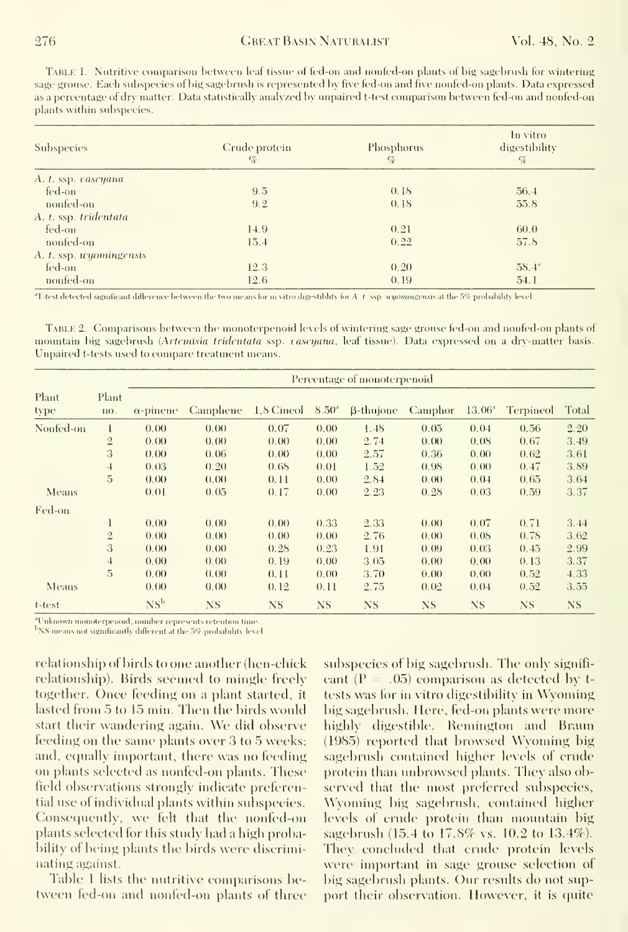TABLE 1. Nutritive comparison between leaf tissue of fed-on and nonfed-on plants of hig sagebrush for wintering sage grouse. Each subspecies of big sagebrush is represented by five fed-on and five nonfed-on plants. Data expressed as a percentage of dry matter. Data statistically analyzed by unpaired t-test comparison between fed-on and nonfed-on plants within subspecies.

| <b>Subspecies</b>       | Crude protein<br>$\mathcal{C}_{\mathcal{C}}$ | Phosphorus<br>$\%$ | In vitro<br>digestibility<br>$\%$ |
|-------------------------|----------------------------------------------|--------------------|-----------------------------------|
| A. t. ssp. vaseyana     |                                              |                    |                                   |
| fed-on                  | 9.5                                          | 0.18               | 56.4                              |
| nonfed-on               | 9.2                                          | 0.18               | 55.8                              |
| A. t. ssp. tridentata   |                                              |                    |                                   |
| fed-on                  | 14.9                                         | 0.21               | 60.0                              |
| nonfed-on               | 15.4                                         | 0.22               | 57.8                              |
| A. t. ssp. wyomingensis |                                              |                    |                                   |
| fed-on                  | 12.3                                         | 0.20               | $58.4^{\circ}$                    |
| nonfed-on               | 12.6                                         | 0.19               | 54.1                              |

 $*$ T-test detected significant difference between the two means for in vitro digestiblity for A t ssp uyoming ensis at the 5% probability level.

TABLE 2. Comparisons between the monoterpenoid levels of wintering sage grouse fed-on and nonfed-on plants of mountain big sagebrush (Artemisia tridentata ssp. caseyana, leaf tissue). Data expressed on a dry-matter basis. Unpaired t-tests used to compare treatment means.

|               |                | Percentage of monoterpenoid |          |                |           |                                |           |                    |           |           |  |  |  |
|---------------|----------------|-----------------------------|----------|----------------|-----------|--------------------------------|-----------|--------------------|-----------|-----------|--|--|--|
| Plant<br>type | Plant<br>no.   | $\alpha$ -pinene            | Camphene | 1,8 Cineol     | $8.50^4$  | <b><i><u>B-thujone</u></i></b> | Camphor   | 13.06 <sup>a</sup> | Terpineol | Total     |  |  |  |
| Nonfed-on     | 1              | 0.00                        | 0.00     | 0.07           | 0.00      | 1.48                           | 0.05      | 0.04               | 0.56      | 2.20      |  |  |  |
|               | $\overline{2}$ | 0.00                        | 0.00     | (0.00)         | 0.00      | 2.74                           | 0.00      | 0.08               | 0.67      | 3.49      |  |  |  |
|               | 3              | 0.00                        | 0.06     | 0.00           | 0.00      | 2.57                           | 0.36      | 0.00               | 0.62      | 3.61      |  |  |  |
|               | $\overline{4}$ | 0.03                        | 0.20     | 0.68           | 0.01      | 1.52                           | 0.98      | 0.00               | 0.47      | 3.89      |  |  |  |
|               | 5              | 0.00                        | 0.00     | 0.11           | 0.00      | 2.84                           | 0.00      | 0.04               | 0.65      | 3.64      |  |  |  |
| Means         |                | 0.01                        | 0.05     | 0.17           | (0.00)    | 2.23                           | 0.28      | 0.03               | 0.59      | 3.37      |  |  |  |
| Fed-on        |                |                             |          |                |           |                                |           |                    |           |           |  |  |  |
|               | 1              | 0.00                        | (0.00)   | (0.00)         | 0.33      | 2.33                           | (0.00)    | 0.07               | 0.71      | 3.44      |  |  |  |
|               | $\overline{2}$ | 0.00                        | (0.00)   | (0, 0)         | 0.00      | 2.76                           | (0.00)    | 0.08               | 0.78      | 3.62      |  |  |  |
|               | 3              | 0.00                        | 0.00     | 0.28           | 0.23      | 1.91                           | 0.09      | 0.03               | 0.45      | 2.99      |  |  |  |
|               | 4              | 0.00                        | (0, 0)   | 0.19           | 0.00      | 3.05                           | 0.00      | 0.00               | 0.13      | 3.37      |  |  |  |
|               | $\overline{5}$ | 0.00                        | 0.00     | 0.11           | 0.00      | 3.70                           | 0.00      | (0.00)             | 0.52      | 4.33      |  |  |  |
| Means         |                | 0.00                        | 0.00     | 0.12           | 0.11      | 2.75                           | (0.02)    | 0.04               | 0.52      | 3.55      |  |  |  |
| t-test        |                | NS <sup>b</sup>             | NS       | N <sub>S</sub> | <b>NS</b> | NS.                            | <b>NS</b> | NS.                | <b>NS</b> | <b>NS</b> |  |  |  |

<sup>a</sup>Unknown monoterpenoid, number represents retention time.

<sup>b</sup>NS means not significantly different at the 5% probability level

relationship of birds to one another (hen-chick relationship). Birds seemed to mingle freely together. Once feeding on a plant started, it lasted from 5 to 15 min. Then the birds would start their wandering again. We did observe feeding on the same plants over 3 to 5 weeks; and, equally important, there was no feeding on plants selected as nonfed-on plants. These field observations strongly indicate preferential use of individual plants within subspecies. Consequently, we felt that the nonfed-on plants selected for this study had a high probability of being plants the birds were discriminating against.

Table 1 lists the nutritive comparisons between fed-on and nonfed-on plants of three subspecies of big sagebrush. The only signifieant ( $P = .05$ ) comparison as detected by ttests was for in vitro digestibility in Wyoming big sagebrush. Here, fed-on plants were more highly digestible. Remington and Braun (1985) reported that browsed Wyoming big sagebrush contained higher levels of crude protein than unbrowsed plants. They also observed that the most preferred subspecies, Wyoming big sagebrush, contained higher levels of crude protein than mountain big sagebrush (15.4 to 17.8% vs. 10.2 to 13.4%). They concluded that crude protein levels were important in sage grouse selection of big sagebrush plants. Our results do not support their observation. However, it is quite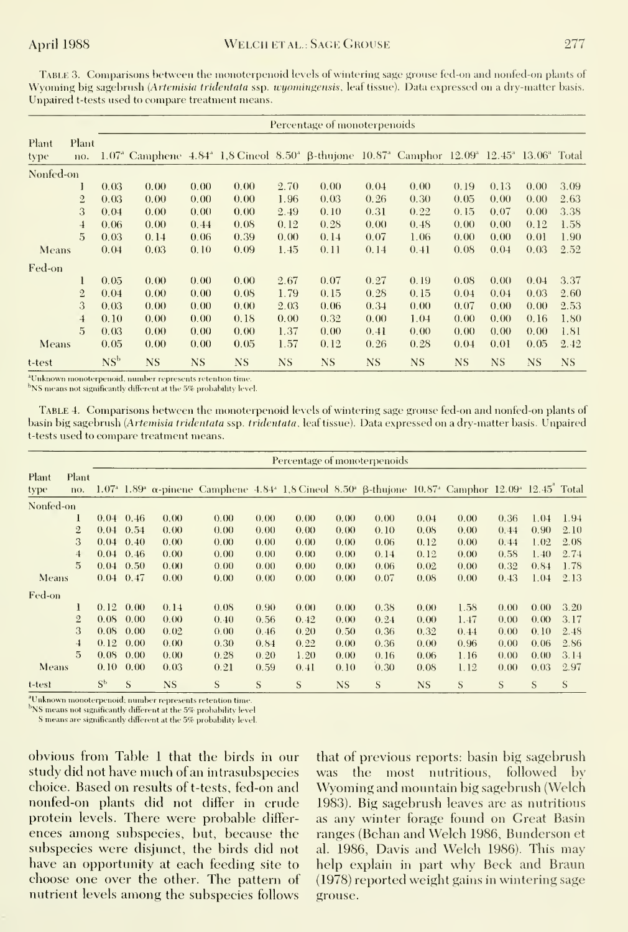TABLE 3. Comparisons between the monoterpenoid levels of wintering sage grouse fed-on and nonfed-on plants of Wyoming big sagebrush (Artemisia tridentata ssp. wyomingensis, leaf tissue). Data expressed on a dry-matter basis. Unpaired t-tests used to compare treatment means.

|               |                | Percentage of monoterpenoids |                                                                                                                                                                               |           |      |           |           |           |      |      |           |           |      |  |
|---------------|----------------|------------------------------|-------------------------------------------------------------------------------------------------------------------------------------------------------------------------------|-----------|------|-----------|-----------|-----------|------|------|-----------|-----------|------|--|
| Plant<br>type | Plant<br>no.   |                              | 1.07 <sup>a</sup> Camphene 4.84 <sup>a</sup> 1,8 Cineol 8.50 <sup>a</sup> β-thujone 10.87 <sup>a</sup> Camphor 12.09 <sup>a</sup> 12.45 <sup>a</sup> 13.06 <sup>a</sup> Total |           |      |           |           |           |      |      |           |           |      |  |
| Nonfed-on     |                |                              |                                                                                                                                                                               |           |      |           |           |           |      |      |           |           |      |  |
|               | ı              | 0.03                         | 0.00                                                                                                                                                                          | 0.00      | 0.00 | 2.70      | 0.00      | 0.04      | 0.00 | 0.19 | 0.13      | 0.00      | 3.09 |  |
|               | $\overline{2}$ | 0.03                         | 0.00                                                                                                                                                                          | 0.00      | 0.00 | 1.96      | 0.03      | 0.26      | 0.30 | 0.05 | 0.00      | 0.00      | 2.63 |  |
|               | 3              | 0.04                         | 0.00                                                                                                                                                                          | 0.00      | 0.00 | 2.49      | 0.10      | 0.31      | 0.22 | 0.15 | 0.07      | 0.00      | 3.38 |  |
|               | $\overline{4}$ | 0.06                         | 0.00                                                                                                                                                                          | 0.44      | 0.08 | 0.12      | 0.28      | 0.00      | 0.48 | 0.00 | 0.00      | 0.12      | 1.58 |  |
|               | 5              | 0.03                         | 0.14                                                                                                                                                                          | 0.06      | 0.39 | 0.00      | 0.14      | 0.07      | 1.06 | 0.00 | 0.00      | 0.01      | 1.90 |  |
| Means         |                | 0.04                         | 0.03                                                                                                                                                                          | 0.10      | 0.09 | 1.45      | 0.11      | 0.14      | 0.41 | 0.08 | 0.04      | 0.03      | 2.52 |  |
| Fed-on        |                |                              |                                                                                                                                                                               |           |      |           |           |           |      |      |           |           |      |  |
|               | 1              | 0.05                         | 0.00                                                                                                                                                                          | 0.00      | 0.00 | 2.67      | 0.07      | 0.27      | 0.19 | 0.08 | 0.00      | 0.04      | 3.37 |  |
|               | $\overline{2}$ | 0.04                         | 0.00                                                                                                                                                                          | 0.00      | 0.08 | 1.79      | 0.15      | 0.28      | 0.15 | 0.04 | 0.04      | 0.03      | 2.60 |  |
|               | 3              | 0.03                         | 0.00                                                                                                                                                                          | 0.00      | 0.00 | 2.03      | 0.06      | 0.34      | 0.00 | 0.07 | 0.00      | 0.00      | 2.53 |  |
|               | $\overline{4}$ | 0.10                         | 0.00                                                                                                                                                                          | 0.00      | 0.18 | 0.00      | 0.32      | 0.00      | 1.04 | 0.00 | 0.00      | 0.16      | 1.80 |  |
|               | 5              | 0.03                         | 0.00                                                                                                                                                                          | 0.00      | 0.00 | 1.37      | 0.00      | 0.41      | 0.00 | 0.00 | 0.00      | 0.00      | 1.81 |  |
| Means         |                | 0.05                         | 0.00                                                                                                                                                                          | 0.00      | 0.05 | 1.57      | 0.12      | 0.26      | 0.28 | 0.04 | 0.01      | 0.05      | 2.42 |  |
| t-test        |                | NS <sup>b</sup>              | <b>NS</b>                                                                                                                                                                     | <b>NS</b> | NS   | <b>NS</b> | <b>NS</b> | <b>NS</b> | NS.  | NS.  | <b>NS</b> | <b>NS</b> | NS.  |  |

<sup>a</sup>Unknown monoterpenoid, number represents retention time.

<sup>b</sup>NS means not significantly different at the 5% probability level.

TABLE 4. Comparisons between the monoterpenoid levels of wintering sage grouse fed-on and nonfed-on plants of basin big sagebrush (Artemisia tridentata ssp. tridentata, leaf tissue). Data expressed on a dry-matter basis. Unpaired t-tests used to compare treatment means.

|               |                |             | Percentage of monoterpenoids |           |                                                                                                                                                                                                          |      |      |           |      |           |      |      |      |      |
|---------------|----------------|-------------|------------------------------|-----------|----------------------------------------------------------------------------------------------------------------------------------------------------------------------------------------------------------|------|------|-----------|------|-----------|------|------|------|------|
| Plant<br>type | Plant<br>no.   |             |                              |           | 1.07 <sup>4</sup> 1.89 <sup>4</sup> α-pinene Camphene 4.84 <sup>4</sup> 1.8 Cineol 8.50 <sup>4</sup> β-thujone 10.87 <sup>4</sup> Camphor 12.09 <sup>4</sup> 12.45 <sup><math>\degree</math></sup> Total |      |      |           |      |           |      |      |      |      |
| Nonfed-on     |                |             |                              |           |                                                                                                                                                                                                          |      |      |           |      |           |      |      |      |      |
|               |                |             | $0.04 \quad 0.46$            | 0.00      | 0.00                                                                                                                                                                                                     | 0.00 | 0.00 | 0.00      | 0.00 | 0.04      | 0.00 | 0.36 | 1.04 | 1.94 |
|               | $\overline{2}$ |             | $0.04 \quad 0.54$            | 0.00      | 0.00                                                                                                                                                                                                     | 0.00 | 0.00 | 0.00      | 0.10 | 0.08      | 0.00 | 0.44 | 0.90 | 2.10 |
|               | 3              |             | $0.04 \quad 0.40$            | 0.00      | 0.00                                                                                                                                                                                                     | 0.00 | 0.00 | 0.00      | 0.06 | 0.12      | 0.00 | 0.44 | 1.02 | 2.08 |
|               | $\overline{4}$ |             | $0.04 \quad 0.46$            | 0.00      | 0.00                                                                                                                                                                                                     | 0.00 | 0.00 | 0.00      | 0.14 | 0.12      | 0.00 | 0.58 | 1.40 | 2.74 |
|               | $\overline{5}$ |             | $0.04 \quad 0.50$            | 0.00      | 0.00                                                                                                                                                                                                     | 0.00 | 0.00 | 0.00      | 0.06 | 0.02      | 0.00 | 0.32 | 0.84 | 1.78 |
| <b>Means</b>  |                |             | $0.04 \quad 0.47$            | 0.00      | 0.00                                                                                                                                                                                                     | 0.00 | 0.00 | 0.00      | 0.07 | 0.08      | 0.00 | 0.43 | 1.04 | 2.13 |
| Fed-on        |                |             |                              |           |                                                                                                                                                                                                          |      |      |           |      |           |      |      |      |      |
|               | 1              | 0.12        | 0.00                         | 0.14      | 0.08                                                                                                                                                                                                     | 0.90 | 0.00 | 0.00      | 0.38 | 0.00      | 1.58 | 0.00 | 0.00 | 3.20 |
|               | $\mathfrak{2}$ | 0.08        | 0.00                         | 0.00      | 0.40                                                                                                                                                                                                     | 0.56 | 0.42 | 0.00      | 0.24 | 0.00      | 1.47 | 0.00 | 0.00 | 3.17 |
|               | 3              | 0.08        | 0.00                         | 0.02      | 0.00                                                                                                                                                                                                     | 0.46 | 0.20 | 0.50      | 0.36 | 0.32      | 0.44 | 0.00 | 0.10 | 2.48 |
|               | $\overline{4}$ | 0.12        | 0.00                         | 0.00      | 0.30                                                                                                                                                                                                     | 0.84 | 0.22 | 0.00      | 0.36 | 0.00      | 0.96 | 0.00 | 0.06 | 2.86 |
|               | $\overline{5}$ | 0.08        | 0.00                         | 0.00      | 0.28                                                                                                                                                                                                     | 0.20 | 1.20 | 0.00      | 0.16 | 0.06      | 1.16 | 0.00 | 0.00 | 3.14 |
| Means         |                | 0.10        | 0.00                         | 0.03      | 0.21                                                                                                                                                                                                     | 0.59 | 0.41 | 0.10      | 0.30 | 0.08      | 1.12 | 0.00 | 0.03 | 2.97 |
| t-test        |                | $S^{\rm b}$ | S                            | <b>NS</b> | S                                                                                                                                                                                                        | S    | S    | <b>NS</b> | S    | <b>NS</b> | S    | S    | S    | S    |

<sup>a</sup>Unknown monoterpenoid; number represents retention time.

<sup>b</sup>NS means not significantly different at the 5% probability level

S means are significantly different at the 5% probability level.

obvious from Table 1 that the birds in our study did not have much of an intrasubspecies choice. Based on results of t-tests, fed-on and nonfed-on plants did not differ in crude protein levels. There were probable differences among subspecies, but, because the subspecies were disjunct, the birds did not have an opportunity at each feeding site to choose one over the other. The pattern of nutrient levels among the subspecies follows

that of previous reports: basin big sagebrush was the most nutritious, followed by Wyoming and mountain big sagebrush (Welch 1983). Big sagebrush leaves are as nutritious as any winter forage found on Great Basin ranges (Behan and Welch 1986, Bunderson et al. 1986, Davis and Welch 1986). This may help explain in part why Beck and Braun (1978) reported weight gains in wintering sage grouse.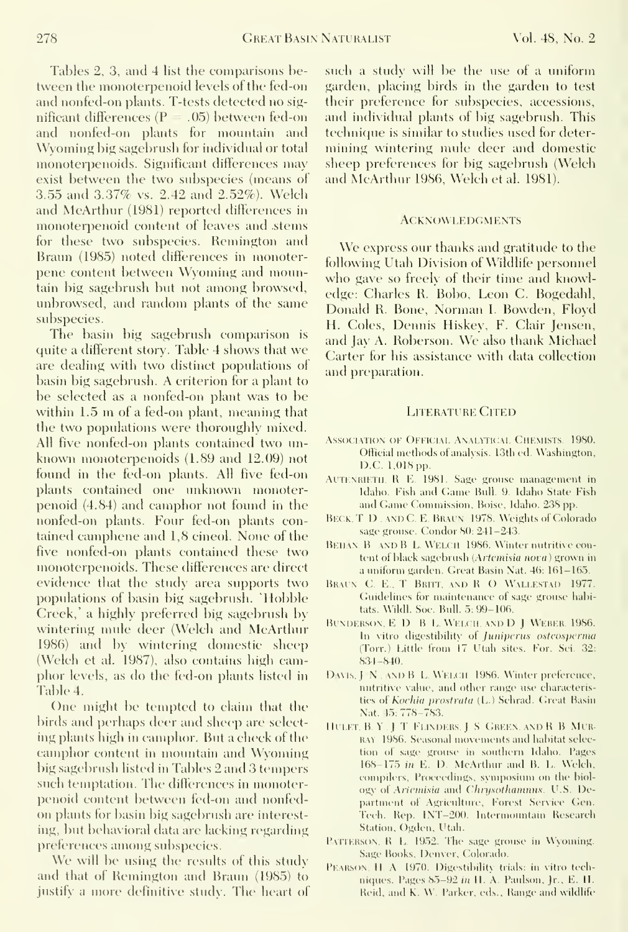Tables 2, 3, and 4 list the comparisons between the monoterpenoid levels of the fed-on and nonfed-on plants. T-tests detected no sig nificant differences  $(P = .05)$  between fed-on and nonfed-on plants for mountain and Wyoming big sagebrush for individual or total monoterpenoids. Significant differences may exist between the two subspecies (means of 3.55 and 3.37% vs. 2.42 and 2.52%). Welch and McArthur (1981) reported differences in monoterpenoid content of leaves and stems for these two subspecies. Remington and Braun (1985) noted differences in monoterpene content between Wyoming and mountain big sagebrush but not among browsed, unbrowsed, and random plants of the same subspecies.

The basin big sagebrush comparison is quite <sup>a</sup> different story. Table 4 shows that we are dealing with two distinct populations of basin big sagebrush. A criterion for <sup>a</sup> plant to be selected as a nonfed-on plant was to be within 1.5 m of <sup>a</sup> fed-on plant, meaning that the two populations were thoroughly mixed. All five nonfed-on plants contained two unknown monoterpenoids (1.89 and 12.09) not found in the fed-on plants. All five fed-on plants contained one unknown monoterpenoid (4.84) and camphor not foimd in the nonfed-on plants. Four fed-on plants contained camphene and 1,8 cineol. None of the five nonfed-on plants contained these two monoterpenoids. These differences are direct evidence that the study area supports two populations of basin big sagebrush. "Hobble Creek,' a highly preferred big sagebrush by wintering mule deer (Welch and McArthur 1986) and by wintering domestic sheep (Welch et al. 1987), also contains high camphor levels, as do the fed-on plants listed in Table 4.

One might be tempted to claim that the birds and perhaps deer and sheep are select ing plants high in camphor. But a check of the camphor content in mountain and Wyoming big sagebrush listed in Tables 2 and 3 tempers such temptation. The differences in monoterpenoid content between fed-on and nonfed on plants for basin big sagebrush are interesting, but behavioral data are lacking regarding preferences among subspecies.

We will be using the results of this study and that of Kemington and Braun (1985) to justify a more definitive study. The heart of such a study will be the use of a uniform garden, placing birds in the garden to test their preference for subspecies, accessions, and individual plants of big sagebrush. This technique is similar to studies used for determining wintering mule deer and domestic sheep preferences for big sagebrush (Welch and McArthur 1986, Welch et al. 1981).

#### **ACKNOWLEDGMENTS**

We express our thanks and gratitude to the following Utah Division of Wildlife personnel who gave so freely of their time and knowledge: Charles R. Bobo, Leon C. Bogedahl, Donald R. Bone, Norman I. Bowden, Floyd H. Coles, Dennis Hiskey, F. Clair Jensen, and Jay A. Roberson. We also thank Michael Carter for his assistance with data collection and preparation.

#### LITERATURE CITED

- ASSOCIATION OF OFFICIAL ANALYTICAL CHEMISTS. 1980. Official methods of analysis. 13th ed. Washington, D.C. 1,018 pp.
- AUTENRIETH, R E. 1981. Sage grouse management in Idaho. Fish and Game Bnll. 9. Idaho State Fish and Game Commission, Boise, Idaho. 238 pp.
- BECK, T. D., AND C. E. BRAUN. 1978. Weights of Colorado sage gronse. Condor SO: 241-243.
- BEHAN. B AND B L. WELCH 1986. Winter nutritive content of black sagebrush (Artemisia nova) grown in a uniform garden. Great Basin Nat. 46: 161-165.
- BRAUN. C. E., T. BRITT, AND R. O. WALLESTAD 1977. Guidelines for maintenance of sage grouse habitats. Wildl. Soc. Bull. 5: 99-106.
- BUNDERSON, E D . B L. WELCH, AND D J WEBER. 1986. In vitro digestibility of Juniperus osteosperma (Torr.) Little from 17 Utah sites. For. Sci. 32: 8,34-840.
- DAVIS, J. N., AND B. L. WELCH 1986. Winter preference, nutritive value, and other range use characteristies of Kochia prostrata (L.) Sehrad. Great Basin Nat. 45: 778-783.
- Ill LET, BY. <sup>J</sup> T Flinders.] <sup>S</sup> Green and R <sup>B</sup> Mir RAY 1986. Seasonal movements and habitat selection of sage grouse in southern Idaho. Pages 168-175 in E. D. McArthur and B. L. Welch, compilers. Proceedings, symposium on the biology of Ariemisia and Chrysothammus. U.S. Department of Agriculture, Forest Service Gen. Tech. Rep. INT-200. Intermountain Research Station, Ogden, Utah.
- PATTERSON, R L. 1952. The sage grouse in Wyoming. Sage Books, Denver, Colorado.
- PEARSON, H, A. 1970. Digestibility trials: in vitro techniques. Pages  $85-92$  in H. A. Paulson, Jr., E. H. Reid, and K. W. Parker, eds.. Range and wildlife